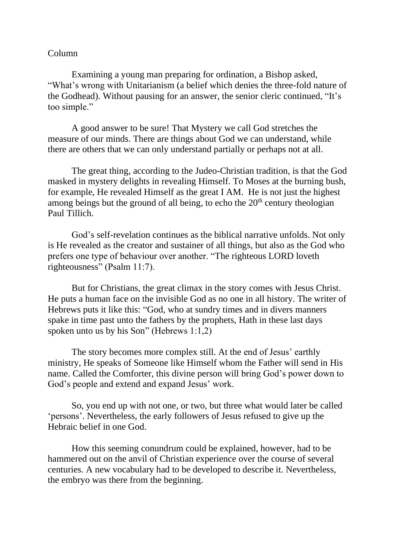## Column

Examining a young man preparing for ordination, a Bishop asked, "What's wrong with Unitarianism (a belief which denies the three-fold nature of the Godhead). Without pausing for an answer, the senior cleric continued, "It's too simple."

A good answer to be sure! That Mystery we call God stretches the measure of our minds. There are things about God we can understand, while there are others that we can only understand partially or perhaps not at all.

The great thing, according to the Judeo-Christian tradition, is that the God masked in mystery delights in revealing Himself. To Moses at the burning bush, for example, He revealed Himself as the great I AM. He is not just the highest among beings but the ground of all being, to echo the  $20<sup>th</sup>$  century theologian Paul Tillich.

God's self-revelation continues as the biblical narrative unfolds. Not only is He revealed as the creator and sustainer of all things, but also as the God who prefers one type of behaviour over another. "The righteous LORD loveth righteousness" (Psalm 11:7).

But for Christians, the great climax in the story comes with Jesus Christ. He puts a human face on the invisible God as no one in all history. The writer of Hebrews puts it like this: "God, who at sundry times and in divers manners spake in time past unto the fathers by the prophets, Hath in these last days spoken unto us by his Son" (Hebrews 1:1,2)

The story becomes more complex still. At the end of Jesus' earthly ministry, He speaks of Someone like Himself whom the Father will send in His name. Called the Comforter, this divine person will bring God's power down to God's people and extend and expand Jesus' work.

So, you end up with not one, or two, but three what would later be called 'persons'. Nevertheless, the early followers of Jesus refused to give up the Hebraic belief in one God.

How this seeming conundrum could be explained, however, had to be hammered out on the anvil of Christian experience over the course of several centuries. A new vocabulary had to be developed to describe it. Nevertheless, the embryo was there from the beginning.